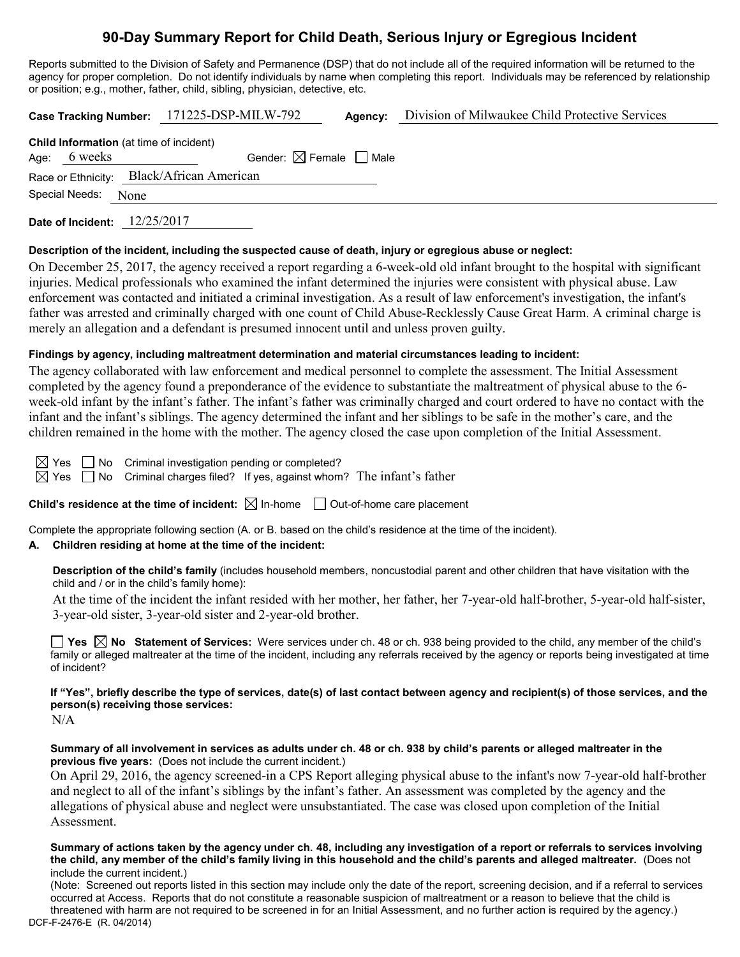# **90-Day Summary Report for Child Death, Serious Injury or Egregious Incident**

Reports submitted to the Division of Safety and Permanence (DSP) that do not include all of the required information will be returned to the agency for proper completion. Do not identify individuals by name when completing this report. Individuals may be referenced by relationship or position; e.g., mother, father, child, sibling, physician, detective, etc.

|                                                | Case Tracking Number: 171225-DSP-MILW-792 | Agency: | Division of Milwaukee Child Protective Services |  |
|------------------------------------------------|-------------------------------------------|---------|-------------------------------------------------|--|
| <b>Child Information</b> (at time of incident) |                                           |         |                                                 |  |
| Age: $6$ weeks                                 | Gender: $\boxtimes$ Female $\Box$ Male    |         |                                                 |  |
| Race or Ethnicity: Black/African American      |                                           |         |                                                 |  |
| Special Needs: None                            |                                           |         |                                                 |  |
| Date of Incident:                              | 12/25/2017                                |         |                                                 |  |

### **Description of the incident, including the suspected cause of death, injury or egregious abuse or neglect:**

On December 25, 2017, the agency received a report regarding a 6-week-old old infant brought to the hospital with significant injuries. Medical professionals who examined the infant determined the injuries were consistent with physical abuse. Law enforcement was contacted and initiated a criminal investigation. As a result of law enforcement's investigation, the infant's father was arrested and criminally charged with one count of Child Abuse-Recklessly Cause Great Harm. A criminal charge is merely an allegation and a defendant is presumed innocent until and unless proven guilty.

### **Findings by agency, including maltreatment determination and material circumstances leading to incident:**

The agency collaborated with law enforcement and medical personnel to complete the assessment. The Initial Assessment completed by the agency found a preponderance of the evidence to substantiate the maltreatment of physical abuse to the 6 week-old infant by the infant's father. The infant's father was criminally charged and court ordered to have no contact with the infant and the infant's siblings. The agency determined the infant and her siblings to be safe in the mother's care, and the children remained in the home with the mother. The agency closed the case upon completion of the Initial Assessment.

 $\boxtimes$  Yes  $\Box$  No Criminal investigation pending or completed?

 $\boxtimes$  Yes  $\Box$  No Criminal charges filed? If yes, against whom? The infant's father

**Child's residence at the time of incident:**  $\boxtimes$  In-home  $\Box$  Out-of-home care placement

Complete the appropriate following section (A. or B. based on the child's residence at the time of the incident).

### **A. Children residing at home at the time of the incident:**

**Description of the child's family** (includes household members, noncustodial parent and other children that have visitation with the child and / or in the child's family home):

At the time of the incident the infant resided with her mother, her father, her 7-year-old half-brother, 5-year-old half-sister, 3-year-old sister, 3-year-old sister and 2-year-old brother.

**Yes No Statement of Services:** Were services under ch. 48 or ch. 938 being provided to the child, any member of the child's family or alleged maltreater at the time of the incident, including any referrals received by the agency or reports being investigated at time of incident?

# **If "Yes", briefly describe the type of services, date(s) of last contact between agency and recipient(s) of those services, and the person(s) receiving those services:**

N/A

#### **Summary of all involvement in services as adults under ch. 48 or ch. 938 by child's parents or alleged maltreater in the previous five years:** (Does not include the current incident.)

On April 29, 2016, the agency screened-in a CPS Report alleging physical abuse to the infant's now 7-year-old half-brother and neglect to all of the infant's siblings by the infant's father. An assessment was completed by the agency and the allegations of physical abuse and neglect were unsubstantiated. The case was closed upon completion of the Initial Assessment.

#### **Summary of actions taken by the agency under ch. 48, including any investigation of a report or referrals to services involving the child, any member of the child's family living in this household and the child's parents and alleged maltreater.** (Does not include the current incident.)

DCF-F-2476-E (R. 04/2014) (Note: Screened out reports listed in this section may include only the date of the report, screening decision, and if a referral to services occurred at Access. Reports that do not constitute a reasonable suspicion of maltreatment or a reason to believe that the child is threatened with harm are not required to be screened in for an Initial Assessment, and no further action is required by the agency.)